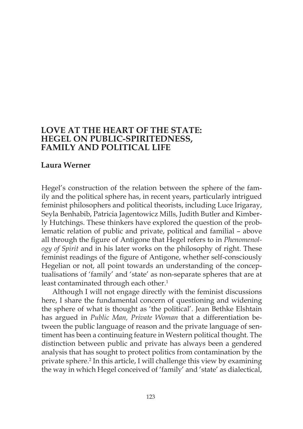# **LOVE AT THE HEART OF THE STATE: HEGEL ON PUBLIC-SPIRITEDNESS, FAMILY AND POLITICAL LIFE**

# **Laura Werner**

Hegel's construction of the relation between the sphere of the family and the political sphere has, in recent years, particularly intrigued feminist philosophers and political theorists, including Luce Irigaray, Seyla Benhabib, Patricia Jagentowicz Mills, Judith Butler and Kimberly Hutchings. These thinkers have explored the question of the problematic relation of public and private, political and familial – above all through the figure of Antigone that Hegel refers to in *Phenomenology of Spirit* and in his later works on the philosophy of right. These feminist readings of the figure of Antigone, whether self-consciously Hegelian or not, all point towards an understanding of the conceptualisations of 'family' and 'state' as non-separate spheres that are at least contaminated through each other.<sup>1</sup>

Although I will not engage directly with the feminist discussions here, I share the fundamental concern of questioning and widening the sphere of what is thought as 'the political'. Jean Bethke Elshtain has argued in *Public Man, Private Woman* that a differentiation between the public language of reason and the private language of sentiment has been a continuing feature in Western political thought. The distinction between public and private has always been a gendered analysis that has sought to protect politics from contamination by the private sphere.2 In this article, I will challenge this view by examining the way in which Hegel conceived of 'family' and 'state' as dialectical,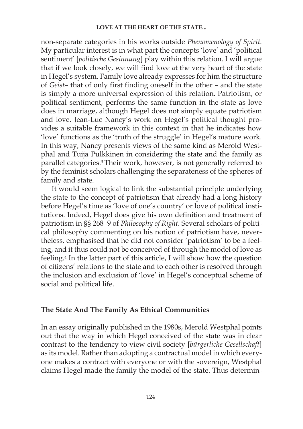non-separate categories in his works outside *Phenomenology of Spirit*. My particular interest is in what part the concepts 'love' and 'political sentiment' [*politische Gesinnung*] play within this relation. I will argue that if we look closely, we will find love at the very heart of the state in Hegel's system. Family love already expresses for him the structure of *Geist*– that of only first finding oneself in the other – and the state is simply a more universal expression of this relation. Patriotism, or political sentiment, performs the same function in the state as love does in marriage, although Hegel does not simply equate patriotism and love. Jean-Luc Nancy's work on Hegel's political thought provides a suitable framework in this context in that he indicates how 'love' functions as the 'truth of the struggle' in Hegel's mature work. In this way, Nancy presents views of the same kind as Merold Westphal and Tuija Pulkkinen in considering the state and the family as parallel categories.<sup>3</sup> Their work, however, is not generally referred to by the feminist scholars challenging the separateness of the spheres of family and state.

It would seem logical to link the substantial principle underlying the state to the concept of patriotism that already had a long history before Hegel's time as 'love of one's country' or love of political institutions. Indeed, Hegel does give his own definition and treatment of patriotism in §§ 268–9 of *Philosophy of Right*. Several scholars of political philosophy commenting on his notion of patriotism have, nevertheless, emphasised that he did not consider 'patriotism' to be a feeling, and it thus could not be conceived of through the model of love as feeling.4 In the latter part of this article, I will show how the question of citizens' relations to the state and to each other is resolved through the inclusion and exclusion of 'love' in Hegel's conceptual scheme of social and political life.

### **The State And The Family As Ethical Communities**

In an essay originally published in the 1980s, Merold Westphal points out that the way in which Hegel conceived of the state was in clear contrast to the tendency to view civil society [*bürgerliche Gesellschaft*] as its model. Rather than adopting a contractual model in which everyone makes a contract with everyone or with the sovereign, Westphal claims Hegel made the family the model of the state. Thus determin-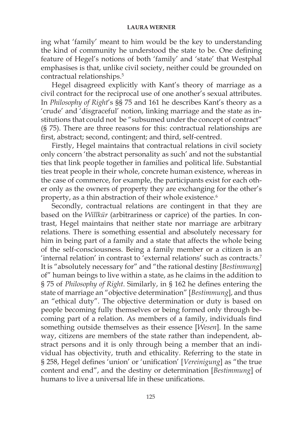ing what 'family' meant to him would be the key to understanding the kind of community he understood the state to be. One defining feature of Hegel's notions of both 'family' and 'state' that Westphal emphasises is that, unlike civil society, neither could be grounded on contractual relationships.5

Hegel disagreed explicitly with Kant's theory of marriage as a civil contract for the reciprocal use of one another's sexual attributes. In *Philosophy of Right*'s §§ 75 and 161 he describes Kant's theory as a 'crude' and 'disgraceful' notion, linking marriage and the state as institutions that could not be "subsumed under the concept of contract" (§ 75). There are three reasons for this: contractual relationships are first, abstract; second, contingent; and third, self-centred.

Firstly, Hegel maintains that contractual relations in civil society only concern 'the abstract personality as such' and not the substantial ties that link people together in families and political life. Substantial ties treat people in their whole, concrete human existence, whereas in the case of commerce, for example, the participants exist for each other only as the owners of property they are exchanging for the other's property, as a thin abstraction of their whole existence.<sup>6</sup>

Secondly, contractual relations are contingent in that they are based on the *Willkür* (arbitrariness or caprice) of the parties. In contrast, Hegel maintains that neither state nor marriage are arbitrary relations. There is something essential and absolutely necessary for him in being part of a family and a state that affects the whole being of the self-consciousness. Being a family member or a citizen is an 'internal relation' in contrast to 'external relations' such as contracts.7 It is "absolutely necessary for" and "the rational destiny [*Bestimmung*] of" human beings to live within a state, as he claims in the addition to § 75 of *Philosophy of Right*. Similarly, in § 162 he defines entering the state of marriage an "objective determination" [*Bestimmung*], and thus an "ethical duty". The objective determination or duty is based on people becoming fully themselves or being formed only through becoming part of a relation. As members of a family, individuals find something outside themselves as their essence [*Wesen*]. In the same way, citizens are members of the state rather than independent, abstract persons and it is only through being a member that an individual has objectivity, truth and ethicality. Referring to the state in § 258, Hegel defines 'union' or 'unification' [*Vereinigung*] as "the true content and end", and the destiny or determination [*Bestimmung*] of humans to live a universal life in these unifications.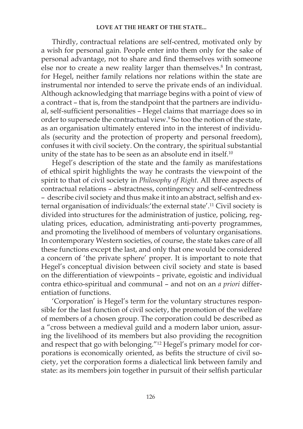Thirdly, contractual relations are self-centred, motivated only by a wish for personal gain. People enter into them only for the sake of personal advantage, not to share and find themselves with someone else nor to create a new reality larger than themselves.<sup>8</sup> In contrast, for Hegel, neither family relations nor relations within the state are instrumental nor intended to serve the private ends of an individual. Although acknowledging that marriage begins with a point of view of a contract – that is, from the standpoint that the partners are individual, self-sufficient personalities – Hegel claims that marriage does so in order to supersede the contractual view.9 So too the notion of the state, as an organisation ultimately entered into in the interest of individuals (security and the protection of property and personal freedom), confuses it with civil society. On the contrary, the spiritual substantial unity of the state has to be seen as an absolute end in itself.<sup>10</sup>

Hegel's description of the state and the family as manifestations of ethical spirit highlights the way he contrasts the viewpoint of the spirit to that of civil society in *Philosophy of Right*. All three aspects of contractual relations – abstractness, contingency and self-centredness – describe civil society and thus make it into an abstract, selfish and external organisation of individuals:'the external state'.11 Civil society is divided into structures for the administration of justice, policing, regulating prices, education, administrating anti-poverty programmes, and promoting the livelihood of members of voluntary organisations. In contemporary Western societies, of course, the state takes care of all these functions except the last, and only that one would be considered a concern of 'the private sphere' proper. It is important to note that Hegel's conceptual division between civil society and state is based on the differentiation of viewpoints – private, egoistic and individual contra ethico-spiritual and communal – and not on an *a priori* differentiation of functions.

'Corporation' is Hegel's term for the voluntary structures responsible for the last function of civil society, the promotion of the welfare of members of a chosen group. The corporation could be described as a "cross between a medieval guild and a modern labor union, assuring the livelihood of its members but also providing the recognition and respect that go with belonging."12 Hegel's primary model for corporations is economically oriented, as befits the structure of civil society, yet the corporation forms a dialectical link between family and state: as its members join together in pursuit of their selfish particular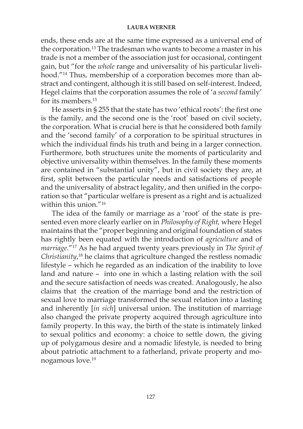ends, these ends are at the same time expressed as a universal end of the corporation.13 The tradesman who wants to become a master in his trade is not a member of the association just for occasional, contingent gain, but "for the *whole* range and universality of his particular livelihood."14 Thus, membership of a corporation becomes more than abstract and contingent, although it is still based on self-interest. Indeed, Hegel claims that the corporation assumes the role of 'a *second* family' for its members.15

He asserts in § 255 that the state has two 'ethical roots': the first one is the family, and the second one is the 'root' based on civil society, the corporation. What is crucial here is that he considered both family and the 'second family' of a corporation to be spiritual structures in which the individual finds his truth and being in a larger connection. Furthermore, both structures unite the moments of particularity and objective universality within themselves. In the family these moments are contained in "substantial unity", but in civil society they are, at first, split between the particular needs and satisfactions of people and the universality of abstract legality, and then unified in the corporation so that "particular welfare is present as a right and is actualized within this union."16

The idea of the family or marriage as a 'root' of the state is presented even more clearly earlier on in *Philosophy of Right,* where Hegel maintains that the "proper beginning and original foundation of states has rightly been equated with the introduction of *agriculture* and of *marriage*."17 As he had argued twenty years previously in *The Spirit of Christianity*, 18 he claims that agriculture changed the restless nomadic lifestyle – which he regarded as an indication of the inability to love land and nature – into one in which a lasting relation with the soil and the secure satisfaction of needs was created. Analogously, he also claims that the creation of the marriage bond and the restriction of sexual love to marriage transformed the sexual relation into a lasting and inherently [*in sich*] universal union. The institution of marriage also changed the private property acquired through agriculture into family property. In this way, the birth of the state is intimately linked to sexual politics and economy: a choice to settle down, the giving up of polygamous desire and a nomadic lifestyle, is needed to bring about patriotic attachment to a fatherland, private property and monogamous love.19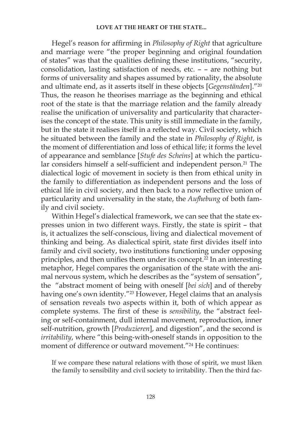Hegel's reason for affirming in *Philosophy of Right* that agriculture and marriage were "the proper beginning and original foundation of states" was that the qualities defining these institutions, "security, consolidation, lasting satisfaction of needs, etc. – – are nothing but forms of universality and shapes assumed by rationality, the absolute and ultimate end, as it asserts itself in these objects [*Gegenständen*]."20 Thus, the reason he theorises marriage as the beginning and ethical root of the state is that the marriage relation and the family already realise the unification of universality and particularity that characterises the concept of the state. This unity is still immediate in the family, but in the state it realises itself in a reflected way. Civil society, which he situated between the family and the state in *Philosophy of Right*, is the moment of differentiation and loss of ethical life; it forms the level of appearance and semblance [*Stufe des Scheins*] at which the particular considers himself a self-sufficient and independent person.<sup>21</sup> The dialectical logic of movement in society is then from ethical unity in the family to differentiation as independent persons and the loss of ethical life in civil society, and then back to a now reflective union of particularity and universality in the state, the *Aufhebung* of both family and civil society.

Within Hegel's dialectical framework, we can see that the state expresses union in two different ways. Firstly, the state is spirit – that is, it actualizes the self-conscious, living and dialectical movement of thinking and being. As dialectical spirit, state first divides itself into family and civil society, two institutions functioning under opposing principles, and then unifies them under its concept.22 In an interesting metaphor, Hegel compares the organisation of the state with the animal nervous system, which he describes as the "system of sensation", the "abstract moment of being with oneself [*bei sich*] and of thereby having one's own identity."23 However, Hegel claims that an analysis of sensation reveals two aspects within it, both of which appear as complete systems. The first of these is *sensibility*, the "abstract feeling or self-containment, dull internal movement, reproduction, inner self-nutrition, growth [*Produzieren*], and digestion", and the second is *irritability*, where "this being-with-oneself stands in opposition to the moment of difference or outward movement."<sup>24</sup> He continues:

If we compare these natural relations with those of spirit, we must liken the family to sensibility and civil society to irritability. Then the third fac-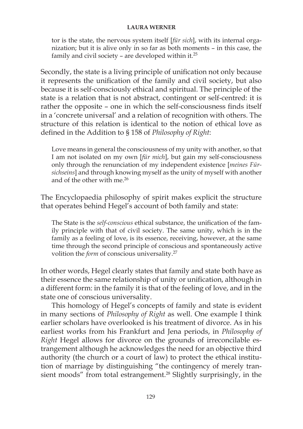tor is the state, the nervous system itself [*für sich*], with its internal organization; but it is alive only in so far as both moments – in this case, the family and civil society – are developed within it.25

Secondly, the state is a living principle of unification not only because it represents the unification of the family and civil society, but also because it is self-consciously ethical and spiritual. The principle of the state is a relation that is not abstract, contingent or self-centred: it is rather the opposite – one in which the self-consciousness finds itself in a 'concrete universal' and a relation of recognition with others. The structure of this relation is identical to the notion of ethical love as defined in the Addition to § 158 of *Philosophy of Right*:

Love means in general the consciousness of my unity with another, so that I am not isolated on my own [*für mich*], but gain my self-consciousness only through the renunciation of my independent existence [*meines Fürsichseins*] and through knowing myself as the unity of myself with another and of the other with me.26

The Encyclopaedia philosophy of spirit makes explicit the structure that operates behind Hegel's account of both family and state:

The State is the *self-conscious* ethical substance, the unification of the family principle with that of civil society. The same unity, which is in the family as a feeling of love, is its essence, receiving, however, at the same time through the second principle of conscious and spontaneously active volition the *form* of conscious universality.27

In other words, Hegel clearly states that family and state both have as their essence the same relationship of unity or unification, although in a different form: in the family it is that of the feeling of love, and in the state one of conscious universality.

This homology of Hegel's concepts of family and state is evident in many sections of *Philosophy of Right* as well. One example I think earlier scholars have overlooked is his treatment of divorce. As in his earliest works from his Frankfurt and Jena periods, in *Philosophy of Right* Hegel allows for divorce on the grounds of irreconcilable estrangement although he acknowledges the need for an objective third authority (the church or a court of law) to protect the ethical institution of marriage by distinguishing "the contingency of merely transient moods" from total estrangement.<sup>28</sup> Slightly surprisingly, in the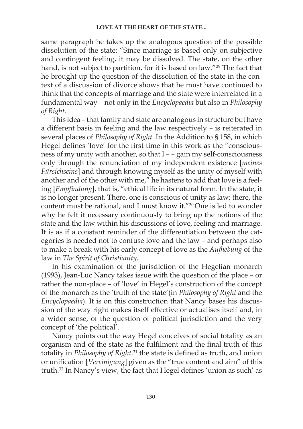same paragraph he takes up the analogous question of the possible dissolution of the state: "Since marriage is based only on subjective and contingent feeling, it may be dissolved. The state, on the other hand, is not subject to partition, for it is based on law."<sup>29</sup> The fact that he brought up the question of the dissolution of the state in the context of a discussion of divorce shows that he must have continued to think that the concepts of marriage and the state were interrelated in a fundamental way – not only in the *Encyclopaedia* but also in *Philosophy of Right.* 

This idea – that family and state are analogous in structure but have a different basis in feeling and the law respectively – is reiterated in several places of *Philosophy of Right*. In the Addition to § 158, in which Hegel defines 'love' for the first time in this work as the "consciousness of my unity with another, so that I – – gain my self-consciousness only through the renunciation of my independent existence [*meines Fürsichseins*] and through knowing myself as the unity of myself with another and of the other with me," he hastens to add that love is a feeling [*Empfindung*], that is, "ethical life in its natural form. In the state, it is no longer present. There, one is conscious of unity as law; there, the content must be rational, and I must know it."30 One is led to wonder why he felt it necessary continuously to bring up the notions of the state and the law within his discussions of love, feeling and marriage. It is as if a constant reminder of the differentiation between the categories is needed not to confuse love and the law – and perhaps also to make a break with his early concept of love as the *Aufhebung* of the law in *The Spirit of Christianity*.

In his examination of the jurisdiction of the Hegelian monarch (1993), Jean-Luc Nancy takes issue with the question of the place – or rather the non-place – of 'love' in Hegel's construction of the concept of the monarch as the 'truth of the state'(in *Philosophy of Right* and the *Encyclopaedia*). It is on this construction that Nancy bases his discussion of the way right makes itself effective or actualises itself and, in a wider sense, of the question of political jurisdiction and the very concept of 'the political'.

Nancy points out the way Hegel conceives of social totality as an organism and of the state as the fulfilment and the final truth of this totality in *Philosophy of Right*. 31 the state is defined as truth, and union or unification [*Vereinigung*] given as the "true content and aim" of this truth.32 In Nancy's view, the fact that Hegel defines 'union as such' as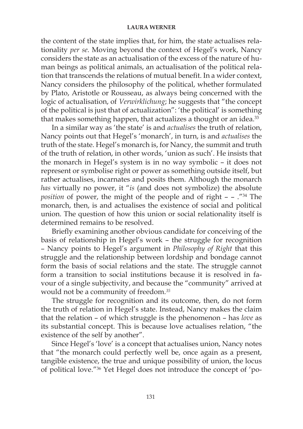the content of the state implies that, for him, the state actualises relationality *per se*. Moving beyond the context of Hegel's work, Nancy considers the state as an actualisation of the excess of the nature of human beings as political animals, an actualisation of the political relation that transcends the relations of mutual benefit. In a wider context, Nancy considers the philosophy of the political, whether formulated by Plato, Aristotle or Rousseau, as always being concerned with the logic of actualisation, of *Verwirklichung*; he suggests that "the concept" of the political is just that of actualization": 'the political' is something that makes something happen, that actualizes a thought or an idea. $33$ 

In a similar way as 'the state' is and *actualises* the truth of relation, Nancy points out that Hegel's 'monarch', in turn, is and *actualises* the truth of the state. Hegel's monarch is, for Nancy, the summit and truth of the truth of relation, in other words, 'union as such'. He insists that the monarch in Hegel's system is in no way symbolic – it does not represent or symbolise right or power as something outside itself, but rather actualises, incarnates and posits them. Although the monarch *has* virtually no power, it "*is* (and does not symbolize) the absolute *position* of power, the might of the people and of right – – ."34 The monarch, then, is and actualises the existence of social and political union. The question of how this union or social relationality itself is determined remains to be resolved.

Briefly examining another obvious candidate for conceiving of the basis of relationship in Hegel's work – the struggle for recognition – Nancy points to Hegel's argument in *Philosophy of Right* that this struggle and the relationship between lordship and bondage cannot form the basis of social relations and the state. The struggle cannot form a transition to social institutions because it is resolved in favour of a single subjectivity, and because the "community" arrived at would not be a community of freedom.*<sup>35</sup>*

The struggle for recognition and its outcome, then, do not form the truth of relation in Hegel's state. Instead, Nancy makes the claim that the relation – of which struggle is the phenomenon – has *love* as its substantial concept. This is because love actualises relation, "the existence of the self by another".

Since Hegel's 'love' is a concept that actualises union, Nancy notes that "the monarch could perfectly well be, once again as a present, tangible existence, the true and unique possibility of union, the locus of political love."36 Yet Hegel does not introduce the concept of 'po-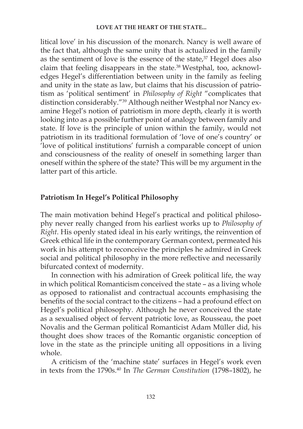litical love' in his discussion of the monarch. Nancy is well aware of the fact that, although the same unity that is actualized in the family as the sentiment of love is the essence of the state,<sup>37</sup> Hegel does also claim that feeling disappears in the state.<sup>38</sup> Westphal, too, acknowledges Hegel's differentiation between unity in the family as feeling and unity in the state as law, but claims that his discussion of patriotism as 'political sentiment' in *Philosophy of Right* "complicates that distinction considerably."39 Although neither Westphal nor Nancy examine Hegel's notion of patriotism in more depth, clearly it is worth looking into as a possible further point of analogy between family and state. If love is the principle of union within the family, would not patriotism in its traditional formulation of 'love of one's country' or 'love of political institutions' furnish a comparable concept of union and consciousness of the reality of oneself in something larger than oneself within the sphere of the state? This will be my argument in the latter part of this article.

# **Patriotism In Hegel's Political Philosophy**

The main motivation behind Hegel's practical and political philosophy never really changed from his earliest works up to *Philosophy of Right*. His openly stated ideal in his early writings, the reinvention of Greek ethical life in the contemporary German context, permeated his work in his attempt to reconceive the principles he admired in Greek social and political philosophy in the more reflective and necessarily bifurcated context of modernity.

In connection with his admiration of Greek political life, the way in which political Romanticism conceived the state – as a living whole as opposed to rationalist and contractual accounts emphasising the benefits of the social contract to the citizens – had a profound effect on Hegel's political philosophy. Although he never conceived the state as a sexualised object of fervent patriotic love, as Rousseau, the poet Novalis and the German political Romanticist Adam Müller did, his thought does show traces of the Romantic organistic conception of love in the state as the principle uniting all oppositions in a living whole.

A criticism of the 'machine state' surfaces in Hegel's work even in texts from the 1790s.40 In *The German Constitution* (1798–1802), he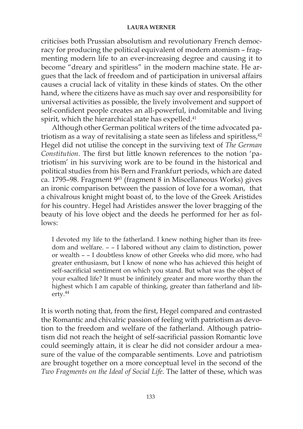criticises both Prussian absolutism and revolutionary French democracy for producing the political equivalent of modern atomism – fragmenting modern life to an ever-increasing degree and causing it to become "dreary and spiritless" in the modern machine state. He argues that the lack of freedom and of participation in universal affairs causes a crucial lack of vitality in these kinds of states. On the other hand, where the citizens have as much say over and responsibility for universal activities as possible, the lively involvement and support of self-confident people creates an all-powerful, indomitable and living spirit, which the hierarchical state has expelled.<sup>41</sup>

Although other German political writers of the time advocated patriotism as a way of revitalising a state seen as lifeless and spiritless,<sup>42</sup> Hegel did not utilise the concept in the surviving text of *The German Constitution*. The first but little known references to the notion 'patriotism' in his surviving work are to be found in the historical and political studies from his Bern and Frankfurt periods, which are dated ca. 1795–98. Fragment 943 (fragment 8 in Miscellaneous Works) gives an ironic comparison between the passion of love for a woman, that a chivalrous knight might boast of, to the love of the Greek Aristides for his country. Hegel had Aristides answer the lover bragging of the beauty of his love object and the deeds he performed for her as follows:

I devoted my life to the fatherland. I knew nothing higher than its freedom and welfare. – – I labored without any claim to distinction, power or wealth – – I doubtless know of other Greeks who did more, who had greater enthusiasm, but I know of none who has achieved this height of self-sacrificial sentiment on which you stand. But what was the object of your exalted life? It must be infinitely greater and more worthy than the highest which I am capable of thinking, greater than fatherland and liberty.44

It is worth noting that, from the first, Hegel compared and contrasted the Romantic and chivalric passion of feeling with patriotism as devotion to the freedom and welfare of the fatherland. Although patriotism did not reach the height of self-sacrificial passion Romantic love could seemingly attain, it is clear he did not consider ardour a measure of the value of the comparable sentiments. Love and patriotism are brought together on a more conceptual level in the second of the *Two Fragments on the Ideal of Social Life*. The latter of these, which was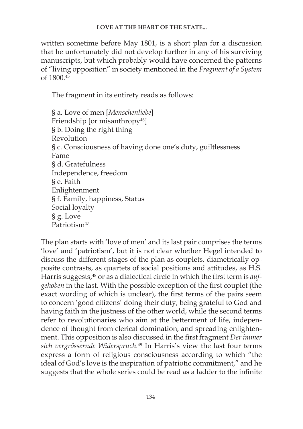written sometime before May 1801, is a short plan for a discussion that he unfortunately did not develop further in any of his surviving manuscripts, but which probably would have concerned the patterns of "living opposition" in society mentioned in the *Fragment of a System*  of 1800.45

The fragment in its entirety reads as follows:

§ a. Love of men [*Menschenliebe*] Friendship [or misanthropy<sup>46</sup>] § b. Doing the right thing Revolution § c. Consciousness of having done one's duty, guiltlessness Fame § d. Gratefulness Independence, freedom § e. Faith Enlightenment § f. Family, happiness, Status Social loyalty § g. Love Patriotism<sup>47</sup>

The plan starts with 'love of men' and its last pair comprises the terms 'love' and 'patriotism', but it is not clear whether Hegel intended to discuss the different stages of the plan as couplets, diametrically opposite contrasts, as quartets of social positions and attitudes, as H.S. Harris suggests,<sup>48</sup> or as a dialectical circle in which the first term is *aufgehoben* in the last. With the possible exception of the first couplet (the exact wording of which is unclear), the first terms of the pairs seem to concern 'good citizens' doing their duty, being grateful to God and having faith in the justness of the other world, while the second terms refer to revolutionaries who aim at the betterment of life, independence of thought from clerical domination, and spreading enlightenment. This opposition is also discussed in the first fragment *Der immer sich vergrössernde Widerspruch.*49 In Harris's view the last four terms express a form of religious consciousness according to which "the ideal of God's love is the inspiration of patriotic commitment," and he suggests that the whole series could be read as a ladder to the infinite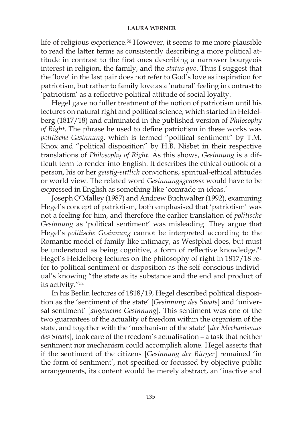life of religious experience.50 However, it seems to me more plausible to read the latter terms as consistently describing a more political attitude in contrast to the first ones describing a narrower bourgeois interest in religion, the family, and the *status quo*. Thus I suggest that the 'love' in the last pair does not refer to God's love as inspiration for patriotism, but rather to family love as a 'natural' feeling in contrast to 'patriotism' as a reflective political attitude of social loyalty.

Hegel gave no fuller treatment of the notion of patriotism until his lectures on natural right and political science, which started in Heidelberg (1817/18) and culminated in the published version of *Philosophy of Right.* The phrase he used to define patriotism in these works was *politische Gesinnung*, which is termed "political sentiment" by T.M. Knox and "political disposition" by H.B. Nisbet in their respective translations of *Philosophy of Right*. As this shows, *Gesinnung* is a difficult term to render into English. It describes the ethical outlook of a person, his or her *geistig-sittlich* convictions, spiritual-ethical attitudes or world view. The related word *Gesinnungsgenosse* would have to be expressed in English as something like 'comrade-in-ideas.'

Joseph O'Malley (1987) and Andrew Buchwalter (1992), examining Hegel's concept of patriotism, both emphasised that 'patriotism' was not a feeling for him, and therefore the earlier translation of *politische Gesinnung* as 'political sentiment' was misleading. They argue that Hegel's *politische Gesinnung* cannot be interpreted according to the Romantic model of family-like intimacy, as Westphal does, but must be understood as being cognitive, a form of reflective knowledge.<sup>51</sup> Hegel's Heidelberg lectures on the philosophy of right in 1817/18 refer to political sentiment or disposition as the self-conscious individual's knowing "the state as its substance and the end and product of its activity."52

In his Berlin lectures of 1818/19, Hegel described political disposition as the 'sentiment of the state' [*Gesinnung des Staats*] and 'universal sentiment' [*allgemeine Gesinnung*]. This sentiment was one of the two guarantees of the actuality of freedom within the organism of the state, and together with the 'mechanism of the state' [*der Mechanismus des Staats*], took care of the freedom's actualisation – a task that neither sentiment nor mechanism could accomplish alone. Hegel asserts that if the sentiment of the citizens [*Gesinnung der Bürger*] remained 'in the form of sentiment', not specified or focussed by objective public arrangements, its content would be merely abstract, an 'inactive and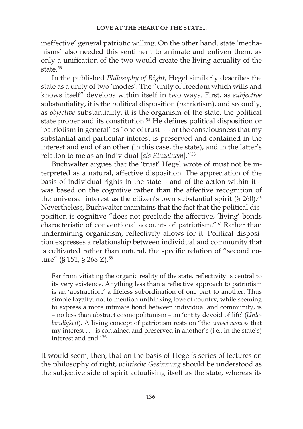ineffective' general patriotic willing. On the other hand, state 'mechanisms' also needed this sentiment to animate and enliven them, as only a unification of the two would create the living actuality of the  $stat$ <sup>53</sup>

In the published *Philosophy of Right*, Hegel similarly describes the state as a unity of two 'modes'. The "unity of freedom which wills and knows itself" develops within itself in two ways. First, as *subjective*  substantiality, it is the political disposition (patriotism), and secondly, as *objective* substantiality, it is the organism of the state, the political state proper and its constitution.54 He defines political disposition or 'patriotism in general' as "one of trust – – or the consciousness that my substantial and particular interest is preserved and contained in the interest and end of an other (in this case, the state), and in the latter's relation to me as an individual [*als Einzelnem*]."55

Buchwalter argues that the 'trust' Hegel wrote of must not be interpreted as a natural, affective disposition. The appreciation of the basis of individual rights in the state – and of the action within it – was based on the cognitive rather than the affective recognition of the universal interest as the citizen's own substantial spirit (§ 260).<sup>56</sup> Nevertheless, Buchwalter maintains that the fact that the political disposition is cognitive "does not preclude the affective, 'living' bonds characteristic of conventional accounts of patriotism."57 Rather than undermining organicism, reflectivity allows for it. Political disposition expresses a relationship between individual and community that is cultivated rather than natural, the specific relation of "second nature" (§ 151, § 268 Z).<sup>58</sup>

Far from vitiating the organic reality of the state, reflectivity is central to its very existence. Anything less than a reflective approach to patriotism is an 'abstraction,' a lifeless subordination of one part to another. Thus simple loyalty, not to mention unthinking love of country, while seeming to express a more intimate bond between individual and community, is – no less than abstract cosmopolitanism – an 'entity devoid of life' (*Unlebendigkeit*). A living concept of patriotism rests on "the *consciousness* that my interest . . . is contained and preserved in another's (i.e., in the state's) interest and end."59

It would seem, then, that on the basis of Hegel's series of lectures on the philosophy of right, *politische Gesinnung* should be understood as the subjective side of spirit actualising itself as the state, whereas its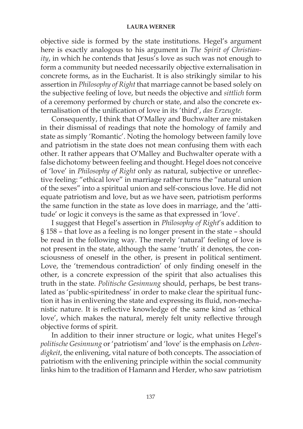objective side is formed by the state institutions. Hegel's argument here is exactly analogous to his argument in *The Spirit of Christianity*, in which he contends that Jesus's love as such was not enough to form a community but needed necessarily objective externalisation in concrete forms, as in the Eucharist. It is also strikingly similar to his assertion in *Philosophy of Right* that marriage cannot be based solely on the subjective feeling of love, but needs the objective and *sittlich* form of a ceremony performed by church or state, and also the concrete externalisation of the unification of love in its 'third', *das Erzeugte*.

Consequently, I think that O'Malley and Buchwalter are mistaken in their dismissal of readings that note the homology of family and state as simply 'Romantic'. Noting the homology between family love and patriotism in the state does not mean confusing them with each other. It rather appears that O'Malley and Buchwalter operate with a false dichotomy between feeling and thought. Hegel does not conceive of 'love' in *Philosophy of Right* only as natural, subjective or unreflective feeling: "ethical love" in marriage rather turns the "natural union of the sexes" into a spiritual union and self-conscious love. He did not equate patriotism and love, but as we have seen, patriotism performs the same function in the state as love does in marriage, and the 'attitude' or logic it conveys is the same as that expressed in 'love'.

I suggest that Hegel's assertion in *Philosophy of Right*'s addition to § 158 – that love as a feeling is no longer present in the state – should be read in the following way. The merely 'natural' feeling of love is not present in the state, although the same 'truth' it denotes, the consciousness of oneself in the other, is present in political sentiment. Love, the 'tremendous contradiction' of only finding oneself in the other, is a concrete expression of the spirit that also actualises this truth in the state. *Politische Gesinnung* should, perhaps, be best translated as 'public-spiritedness' in order to make clear the spiritual function it has in enlivening the state and expressing its fluid, non-mechanistic nature. It is reflective knowledge of the same kind as 'ethical love', which makes the natural, merely felt unity reflective through objective forms of spirit.

In addition to their inner structure or logic, what unites Hegel's *politische Gesinnung* or 'patriotism' and 'love' is the emphasis on *Lebendigkeit*, the enlivening, vital nature of both concepts. The association of patriotism with the enlivening principle within the social community links him to the tradition of Hamann and Herder, who saw patriotism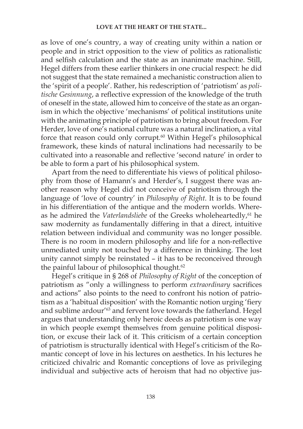as love of one's country, a way of creating unity within a nation or people and in strict opposition to the view of politics as rationalistic and selfish calculation and the state as an inanimate machine. Still, Hegel differs from these earlier thinkers in one crucial respect: he did not suggest that the state remained a mechanistic construction alien to the 'spirit of a people'. Rather, his redescription of 'patriotism' as *politische Gesinnung*, a reflective expression of the knowledge of the truth of oneself in the state, allowed him to conceive of the state as an organism in which the objective 'mechanisms' of political institutions unite with the animating principle of patriotism to bring about freedom. For Herder, love of one's national culture was a natural inclination, a vital force that reason could only corrupt.<sup>60</sup> Within Hegel's philosophical framework, these kinds of natural inclinations had necessarily to be cultivated into a reasonable and reflective 'second nature' in order to be able to form a part of his philosophical system.

Apart from the need to differentiate his views of political philosophy from those of Hamann's and Herder's, I suggest there was another reason why Hegel did not conceive of patriotism through the language of 'love of country' in *Philosophy of Right*. It is to be found in his differentiation of the antique and the modern worlds. Whereas he admired the *Vaterlandsliebe* of the Greeks wholeheartedly,<sup>61</sup> he saw modernity as fundamentally differing in that a direct, intuitive relation between individual and community was no longer possible. There is no room in modern philosophy and life for a non-reflective unmediated unity not touched by a difference in thinking. The lost unity cannot simply be reinstated – it has to be reconceived through the painful labour of philosophical thought.<sup>62</sup>

Hegel's critique in § 268 of *Philosophy of Right* of the conception of patriotism as "only a willingness to perform *extraordinary* sacrifices and actions" also points to the need to confront his notion of patriotism as a 'habitual disposition' with the Romantic notion urging 'fiery and sublime ardour'63 and fervent love towards the fatherland. Hegel argues that understanding only heroic deeds as patriotism is one way in which people exempt themselves from genuine political disposition, or excuse their lack of it. This criticism of a certain conception of patriotism is structurally identical with Hegel's criticism of the Romantic concept of love in his lectures on aesthetics. In his lectures he criticized chivalric and Romantic conceptions of love as privileging individual and subjective acts of heroism that had no objective jus-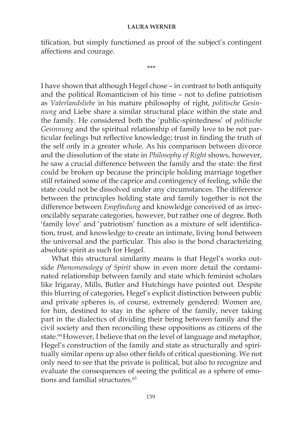tification, but simply functioned as proof of the subject's contingent affections and courage.

\*\*\*

I have shown that although Hegel chose – in contrast to both antiquity and the political Romanticism of his time – not to define patriotism as *Vaterlandsliebe* in his mature philosophy of right, *politische Gesinnung* and Liebe share a similar structural place within the state and the family. He considered both the 'public-spiritedness' of *politische Gesinnung* and the spiritual relationship of family love to be not particular feelings but reflective knowledge; trust in finding the truth of the self only in a greater whole. As his comparison between divorce and the dissolution of the state in *Philosophy of Right* shows, however, he saw a crucial difference between the family and the state: the first could be broken up because the principle holding marriage together still retained some of the caprice and contingency of feeling, while the state could not be dissolved under any circumstances. The difference between the principles holding state and family together is not the difference between *Empfindung* and knowledge conceived of as irreconcilably separate categories, however, but rather one of degree. Both 'family love' and 'patriotism' function as a mixture of self identification, trust, and knowledge to create an intimate, living bond between the universal and the particular. This also is the bond characterizing absolute spirit as such for Hegel.

What this structural similarity means is that Hegel's works outside *Phenomenology of Spirit* show in even more detail the contaminated relationship between family and state which feminist scholars like Irigaray, Mills, Butler and Hutchings have pointed out. Despite this blurring of categories, Hegel's explicit distinction between public and private spheres is, of course, extremely gendered: Women are, for him, destined to stay in the sphere of the family, never taking part in the dialectics of dividing their being between family and the civil society and then reconciling these oppositions as citizens of the state.<sup>64</sup> However, I believe that on the level of language and metaphor, Hegel's construction of the family and state as structurally and spiritually similar opens up also other fields of critical questioning. We not only need to see that the private is political, but also to recognize and evaluate the consequences of seeing the political as a sphere of emotions and familial structures.<sup>65</sup>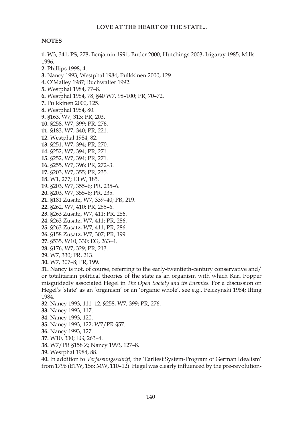#### **NOTES**

**1.** W3, 341; PS, 278; Benjamin 1991; Butler 2000; Hutchings 2003; Irigaray 1985; Mills 1996. **2.** Phillips 1998, 4. **3.** Nancy 1993; Westphal 1984; Pulkkinen 2000, 129. **4.** O'Malley 1987; Buchwalter 1992. **5.** Westphal 1984, 77–8. **6.** Westphal 1984, 78; §40 W7, 98–100; PR, 70–72. **7.** Pulkkinen 2000, 125. **8.** Westphal 1984, 80. **9.** §163, W7, 313; PR, 203. **10.** §258, W7, 399; PR, 276. **11.** §183, W7, 340; PR, 221. **12.** Westphal 1984, 82. **13.** §251, W7, 394; PR, 270. **14.** §252, W7, 394; PR, 271. **15.** §252, W7, 394; PR, 271. **16.** §255, W7, 396; PR, 272–3. **17.** §203, W7, 355; PR, 235. **18.** W1, 277; ETW, 185. **19.** §203, W7, 355–6; PR, 235–6. **20.** §203, W7, 355–6; PR, 235. **21.** §181 Zusatz, W7, 339–40; PR, 219. **22.** §262, W7, 410; PR, 285–6. **23.** §263 Zusatz, W7, 411; PR, 286. **24.** §263 Zusatz, W7, 411; PR, 286. **25.** §263 Zusatz, W7, 411; PR, 286. **26.** §158 Zusatz, W7, 307; PR, 199. **27.** §535, W10, 330; EG, 263–4. **28.** §176, W7, 329; PR, 213. **29.** W7, 330; PR, 213. **30.** W7, 307–8; PR, 199. **31.** Nancy is not, of course, referring to the early-twentieth-century conservative and/

or totalitarian political theories of the state as an organism with which Karl Popper misguidedly associated Hegel in *The Open Society and its Enemies.* For a discussion on Hegel's 'state' as an 'organism' or an 'organic whole', see e.g., Pelczynski 1984; Ilting 1984.

**32.** Nancy 1993, 111–12; §258, W7, 399; PR, 276.

**33.** Nancy 1993, 117.

**34.** Nancy 1993, 120.

**35.** Nancy 1993, 122; W7/PR §57.

**36.** Nancy 1993, 127.

**37.** W10, 330; EG, 263–4.

**38.** W7/PR §158 Z; Nancy 1993, 127–8.

**39.** Westphal 1984, 88.

**40.** In addition to *Verfassungsschrift,* the 'Earliest System-Program of German Idealism' from 1796 (ETW, 156; MW, 110–12). Hegel was clearly influenced by the pre-revolution-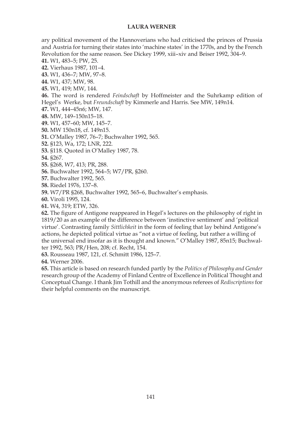ary political movement of the Hannoverians who had criticised the princes of Prussia and Austria for turning their states into 'machine states' in the 1770s, and by the French Revolution for the same reason. See Dickey 1999, xiii–xiv and Beiser 1992, 304–9.

**41.** W1, 483–5; PW, 25.

**42.** Vierhaus 1987, 101–4.

**43.** W1, 436–7; MW, 97–8.

**44.** W1, 437; MW, 98.

**45.** W1, 419; MW, 144.

**46.** The word is rendered *Feindschaft* by Hoffmeister and the Suhrkamp edition of Hegel's Werke, but *Freundschaft* by Kimmerle and Harris. See MW, 149n14.

**47.** W1, 444–45n6; MW, 147.

- **48.** MW, 149–150n15–18.
- **49.** W1, 457–60; MW, 145–7.
- **50.** MW 150n18, cf. 149n15.

**51.** O'Malley 1987, 76–7; Buchwalter 1992, 565.

**52.** §123, Wa, 172; LNR, 222.

**53.** §118. Quoted in O'Malley 1987, 78.

**54.** §267.

**55.** §268, W7, 413; PR, 288.

**56.** Buchwalter 1992, 564–5; W7/PR, §260.

**57.** Buchwalter 1992, 565.

**58.** Riedel 1976, 137–8.

**59.** W7/PR §268, Buchwalter 1992, 565–6, Buchwalter's emphasis.

**60.** Viroli 1995, 124.

**61.** W4, 319; ETW, 326.

**62.** The figure of Antigone reappeared in Hegel's lectures on the philosophy of right in 1819/20 as an example of the difference between 'instinctive sentiment' and 'political virtue'. Contrasting family *Sittlichkeit* in the form of feeling that lay behind Antigone's actions, he depicted political virtue as "not a virtue of feeling, but rather a willing of the universal end insofar as it is thought and known." O'Malley 1987, 85n15; Buchwalter 1992, 563; PR/Hen, 208; cf. Recht, 154.

**63.** Rousseau 1987, 121, cf. Schmitt 1986, 125–7.

**64.** Werner 2006.

**65.** This article is based on research funded partly by the *Politics of Philosophy and Gender*  research group of the Academy of Finland Centre of Excellence in Political Thought and Conceptual Change. I thank Jim Tothill and the anonymous referees of *Rediscriptions* for their helpful comments on the manuscript.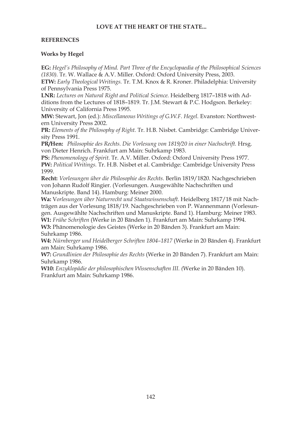#### **REFERENCES**

#### **Works by Hegel**

**EG:** *Hegel's Philosophy of Mind. Part Three of the Encyclopaedia of the Philosophical Sciences (1830).* Tr. W. Wallace & A.V. Miller. Oxford: Oxford University Press, 2003.

**ETW:** *Early Theological Writings.* Tr. T.M. Knox & R. Kroner. Philadelphia: University of Pennsylvania Press 1975.

**LNR:** *Lectures on Natural Right and Political Science.* Heidelberg 1817–1818 with Additions from the Lectures of 1818–1819. Tr. J.M. Stewart & P.C. Hodgson. Berkeley: University of California Press 1995.

**MW:** Stewart, Jon (ed.): *Miscellaneous Writings of G.W.F. Hegel.* Evanston: Northwestern University Press 2002.

**PR:** *Elements of the Philosophy of Right.* Tr. H.B. Nisbet. Cambridge: Cambridge University Press 1991.

**PR/Hen:** *Philosophie des Rechts. Die Vorlesung von 1819/20 in einer Nachschrift.* Hrsg. von Dieter Henrich. Frankfurt am Main: Suhrkamp 1983.

**PS:** *Phenomenology of Spirit.* Tr. A.V. Miller. Oxford: Oxford University Press 1977. **PW:** *Political Writings.* Tr. H.B. Nisbet et al. Cambridge: Cambridge University Press 1999.

**Recht:** *Vorlesungen über die Philosophie des Rechts.* Berlin 1819/1820. Nachgeschrieben von Johann Rudolf Ringier. (Vorlesungen. Ausgewählte Nachschriften und Manuskripte. Band 14). Hamburg: Meiner 2000.

**Wa:** V*orlesungen über Naturrecht und Staatswissenschaft.* Heidelberg 1817/18 mit Nachträgen aus der Vorlesung 1818/19. Nachgeschrieben von P. Wannenmann (Vorlesungen. Ausgewählte Nachschriften und Manuskripte. Band 1). Hamburg: Meiner 1983.

**W1:** *Frühe Schriften* (Werke in 20 Bänden 1). Frankfurt am Main: Suhrkamp 1994.

**W3:** Phänomenologie des Geistes (Werke in 20 Bänden 3). Frankfurt am Main: Suhrkamp 1986.

**W4:** *Nürnberger und Heidelberger Schriften 1804–1817* (Werke in 20 Bänden 4). Frankfurt am Main: Suhrkamp 1986.

**W7:** *Grundlinien der Philosophie des Rechts* (Werke in 20 Bänden 7). Frankfurt am Main: Suhrkamp 1986.

**W10:** *Enzyklopädie der philosophischen Wissenschaften III. (*Werke in 20 Bänden 10). Frankfurt am Main: Suhrkamp 1986.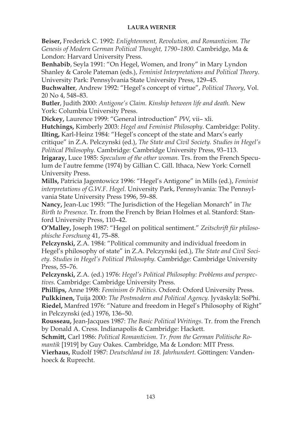**Beiser,** Frederick C. 1992: *Enlightenment, Revolution, and Romanticism. The Genesis of Modern German Political Thought, 1790–1800.* Cambridge, Ma & London: Harvard University Press.

**Benhabib**, Seyla 1991: "On Hegel, Women, and Irony" in Mary Lyndon Shanley & Carole Pateman (eds.), *Feminist Interpretations and Political Theory*. University Park: Pennsylvania State University Press, 129–45.

**Buchwalter**, Andrew 1992: "Hegel's concept of virtue", *Political Theory*, Vol. 20 No 4, 548–83.

**Butler**, Judith 2000: *Antigone's Claim. Kinship between life and death.* New York: Columbia University Press.

**Dickey,** Laurence 1999: "General introduction" *PW*, vii– xli.

**Hutchings,** Kimberly 2003: *Hegel and Feminist Philosophy*. Cambridge: Polity. **Ilting,** Karl-Heinz 1984: "Hegel's concept of the state and Marx's early

critique" in Z.A. Pelczynski (ed.), *The State and Civil Society. Studies in Hegel's Political Philosophy.* Cambridge: Cambridge University Press, 93–113.

**Irigaray,** Luce 1985: *Speculum of the other woman.* Trs. from the French Speculum de l'autre femme (1974) by Gillian C. Gill. Ithaca, New York: Cornell University Press.

**Mills,** Patricia Jagentowicz 1996: "Hegel's Antigone" in Mills (ed.), *Feminist interpretations of G.W.F. Hegel.* University Park, Pennsylvania: The Pennsylvania State University Press 1996, 59–88.

**Nancy,** Jean-Luc 1993: "The Jurisdiction of the Hegelian Monarch" in *The Birth to Presence*. Tr. from the French by Brian Holmes et al. Stanford: Stanford University Press, 110–42.

**O'Malley,** Joseph 1987: "Hegel on political sentiment." *Zeitschrift für philosophische Forschung* 41, 75–88.

**Pelczynski,** Z.A. 1984: "Political community and individual freedom in Hegel's philosophy of state" in Z.A. Pelczynski (ed.), *The State and Civil Society. Studies in Hegel's Political Philosophy.* Cambridge: Cambridge University Press, 55–76.

**Pelczynski,** Z.A. (ed.) 1976: *Hegel's Political Philosophy: Problems and perspectives.* Cambridge: Cambridge University Press.

**Phillips,** Anne 1998: *Feminism & Politics.* Oxford: Oxford University Press. **Pulkkinen,** Tuija 2000: *The Postmodern and Political Agency.* Jyväskylä: SoPhi. **Riedel,** Manfred 1976: "Nature and freedom in Hegel's Philosophy of Right" in Pelczynski (ed.) 1976, 136–50.

**Rousseau,** Jean-Jacques 1987: *The Basic Political Writings.* Tr. from the French by Donald A. Cress. Indianapolis & Cambridge: Hackett.

**Schmitt,** Carl 1986: *Political Romanticism. Tr. from the German Politische Romantik* [1919] by Guy Oakes. Cambridge, Ma & London: MIT Press.

**Vierhaus,** Rudolf 1987: *Deutschland im 18. Jahrhundert.* Göttingen: Vandenhoeck & Ruprecht.